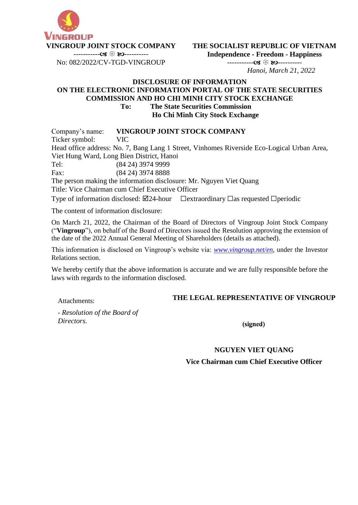

**VINGROUP JOINT STOCK COMPANY**  ----------- ----------

No: 082/2022/CV-TGD-VINGROUP

**THE SOCIALIST REPUBLIC OF VIETNAM Independence - Freedom - Happiness**

> ----------- ---------- *Hanoi, March 21, 2022*

#### **DISCLOSURE OF INFORMATION ON THE ELECTRONIC INFORMATION PORTAL OF THE STATE SECURITIES COMMISSION AND HO CHI MINH CITY STOCK EXCHANGE To: The State Securities Commission Ho Chi Minh City Stock Exchange**

Company's name: **VINGROUP JOINT STOCK COMPANY** Ticker symbol: VIC Head office address: No. 7, Bang Lang 1 Street, Vinhomes Riverside Eco-Logical Urban Area, Viet Hung Ward, Long Bien District, Hanoi Tel: (84 24) 3974 9999 Fax: (84 24) 3974 8888

The person making the information disclosure: Mr. Nguyen Viet Quang

Title: Vice Chairman cum Chief Executive Officer

Type of information disclosed:  $\boxtimes$ 24-hour  $\Box$ extraordinary  $\Box$ as requested  $\Box$ periodic

The content of information disclosure:

On March 21, 2022, the Chairman of the Board of Directors of Vingroup Joint Stock Company ("**Vingroup**"), on behalf of the Board of Directors issued the Resolution approving the extension of the date of the 2022 Annual General Meeting of Shareholders (details as attached).

This information is disclosed on Vingroup's website via: *[www.vingroup.net/en,](http://www.vingroup.net/en)* under the Investor Relations section.

We hereby certify that the above information is accurate and we are fully responsible before the laws with regards to the information disclosed.

Attachments:

# **THE LEGAL REPRESENTATIVE OF VINGROUP**

*- Resolution of the Board of Directors.*

### (signed)

# **NGUYEN VIET QUANG**

**Vice Chairman cum Chief Executive Officer**